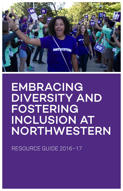

# EMBRACING DIVERSITY AND FOSTERING INCLUSION AT NORTHWESTERN

RESOURCE GUIDE 2016–17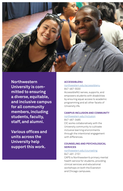

**Northwestern University is committed to ensuring a diverse, equitable, and inclusive campus for all community members, including students, faculty, staff, and alumni.** 

**Various offices and units across the University help support this work.**

### **ACCESSIBLENU**

<northwestern.edu/accessiblenu> 847-467-5530 AccessibleNU serves, supports, and empowers students with disabilities by ensuring equal access to academic programming and all other facets of University life.

## **CAMPUS INCLUSION AND COMMUNITY**

# <northwestern.edu/inclusion>

847-467-3485 CIC works collaboratively with the University community to cultivate inclusive learning environments through the intentional engagement with differences.

# **COUNSELING AND PSYCHOLOGICAL SERVICES**

#### <northwestern.edu/counseling> 847-491-2151

CAPS is Northwestern's primary mental health service for students, providing clinical services and educational workshops on both the Evanston and Chicago campuses.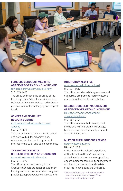

# **FEINBERG SCHOOL OF MEDICINE OFFICE OF DIVERSITY AND INCLUSION\***

<feinberg.northwestern.edu/diversity> 312-503-4473

The office embraces the diversity of the Feinberg School's faculty, workforce, and trainees, striving to create a medical campus environment of belonging and respect for all.

#### **GENDER AND SEXUALITY RESOURCE CENTER**

[northwestern.edu/msa/about-msa](northwestern.edu/msa/about-msa
/spaces) [/spaces](northwestern.edu/msa/about-msa
/spaces) 847-467-0556

The center works to provide a safe space and act as a hub for organizations, resources, services, and programs of interest to the LGBT and allied community.

# **THE GRADUATE SCHOOL OFFICE OF DIVERSITY AND INCLUSION**

<tgs.northwestern.edu/diversity> 847-491-5279

The office promotes diversity in the Graduate School's student population by helping recruit a diverse student body and providing support services to its students.

# **INTERNATIONAL OFFICE**

#### <northwestern.edu/international> 847-491-5613

The office provides advising services and supportive programs to Northwestern's international students and scholars.

# **KELLOGG SCHOOL OF MANAGEMENT OFFICE OF DIVERSITY AND INCLUSION\***

#### [kellogg.northwestern.edu/about](kellogg.northwestern.edu/about
/diversity-inclusion) [/diversity-inclusion](kellogg.northwestern.edu/about
/diversity-inclusion)

847-467-3424

The office ensures that diversity and inclusion are integrated into Kellogg's business practices for faculty, students, and administrators.

#### **MULTICULTURAL STUDENT AFFAIRS**

#### <northwestern.edu/msa>

847-467-6200 MSA enriches the cultural experience at Northwestern through leadership and educational programming, provides opportunities for community engagement and identity expression, and assists students in navigating the University.

\*While all offices and units listed provide assistance to students, these offices also support faculty and staff.